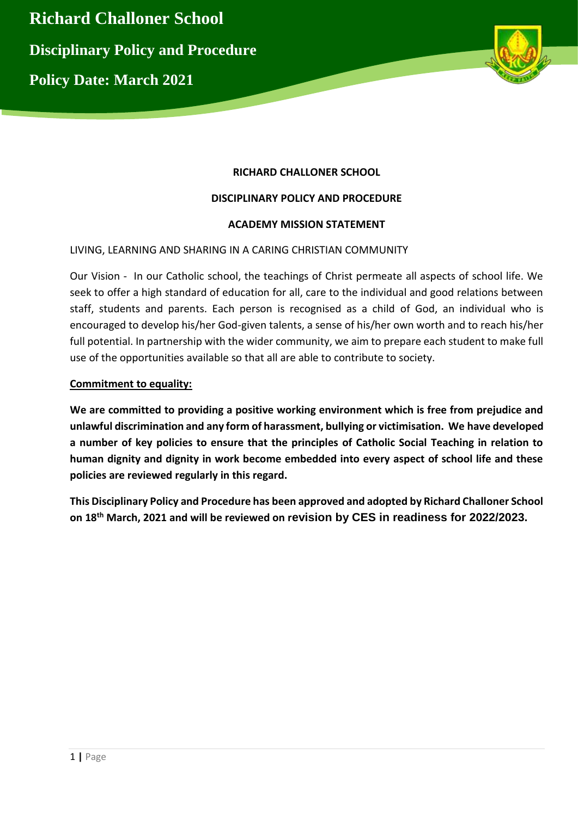

# **RICHARD CHALLONER SCHOOL**

#### **DISCIPLINARY POLICY AND PROCEDURE**

#### **ACADEMY MISSION STATEMENT**

#### LIVING, LEARNING AND SHARING IN A CARING CHRISTIAN COMMUNITY

Our Vision - In our Catholic school, the teachings of Christ permeate all aspects of school life. We seek to offer a high standard of education for all, care to the individual and good relations between staff, students and parents. Each person is recognised as a child of God, an individual who is encouraged to develop his/her God-given talents, a sense of his/her own worth and to reach his/her full potential. In partnership with the wider community, we aim to prepare each student to make full use of the opportunities available so that all are able to contribute to society.

#### **Commitment to equality:**

**We are committed to providing a positive working environment which is free from prejudice and unlawful discrimination and any form of harassment, bullying or victimisation. We have developed a number of key policies to ensure that the principles of Catholic Social Teaching in relation to human dignity and dignity in work become embedded into every aspect of school life and these policies are reviewed regularly in this regard.** 

**This Disciplinary Policy and Procedure has been approved and adopted by Richard Challoner School on 18th March, 2021 and will be reviewed on revision by CES in readiness for 2022/2023.**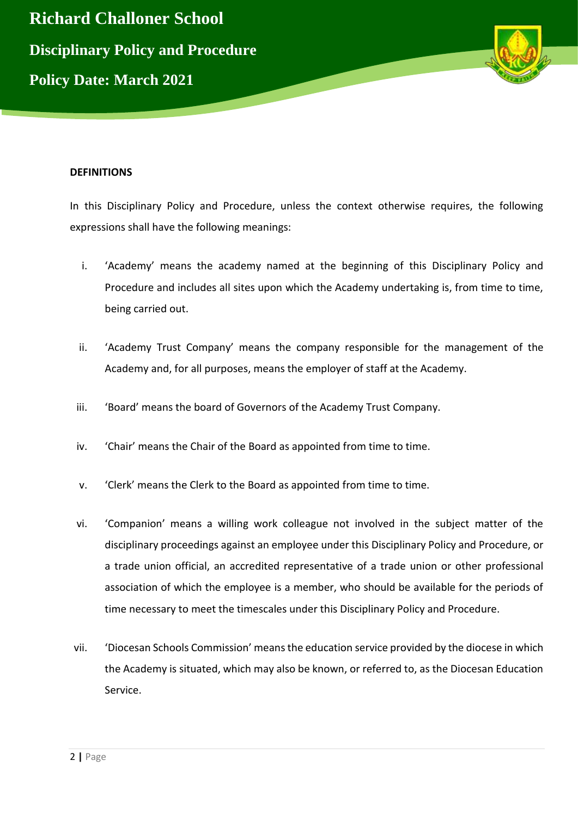

#### **DEFINITIONS**

In this Disciplinary Policy and Procedure, unless the context otherwise requires, the following expressions shall have the following meanings:

- i. 'Academy' means the academy named at the beginning of this Disciplinary Policy and Procedure and includes all sites upon which the Academy undertaking is, from time to time, being carried out.
- ii. 'Academy Trust Company' means the company responsible for the management of the Academy and, for all purposes, means the employer of staff at the Academy.
- iii. 'Board' means the board of Governors of the Academy Trust Company.
- iv. 'Chair' means the Chair of the Board as appointed from time to time.
- v. 'Clerk' means the Clerk to the Board as appointed from time to time.
- vi. 'Companion' means a willing work colleague not involved in the subject matter of the disciplinary proceedings against an employee under this Disciplinary Policy and Procedure, or a trade union official, an accredited representative of a trade union or other professional association of which the employee is a member, who should be available for the periods of time necessary to meet the timescales under this Disciplinary Policy and Procedure.
- vii. 'Diocesan Schools Commission' means the education service provided by the diocese in which the Academy is situated, which may also be known, or referred to, as the Diocesan Education Service.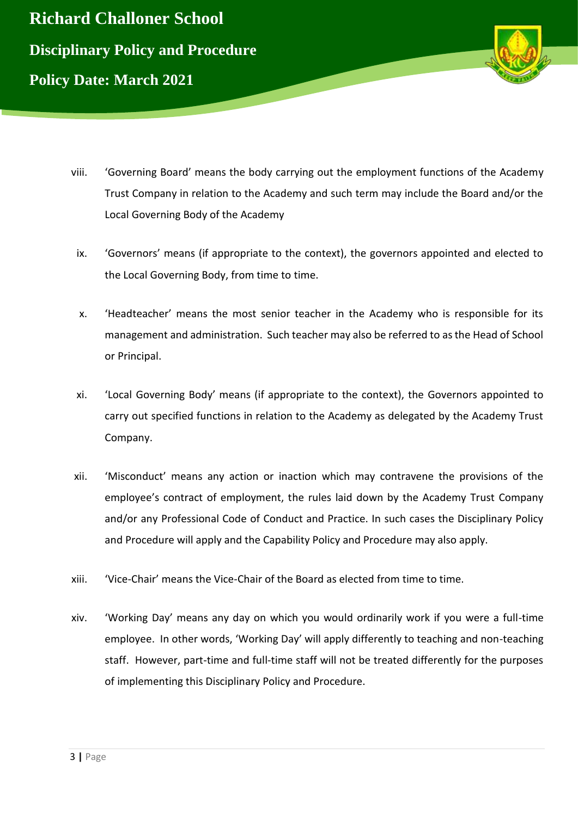



- viii. 'Governing Board' means the body carrying out the employment functions of the Academy Trust Company in relation to the Academy and such term may include the Board and/or the Local Governing Body of the Academy
- ix. 'Governors' means (if appropriate to the context), the governors appointed and elected to the Local Governing Body, from time to time.
- x. 'Headteacher' means the most senior teacher in the Academy who is responsible for its management and administration. Such teacher may also be referred to as the Head of School or Principal.
- xi. 'Local Governing Body' means (if appropriate to the context), the Governors appointed to carry out specified functions in relation to the Academy as delegated by the Academy Trust Company.
- xii. 'Misconduct' means any action or inaction which may contravene the provisions of the employee's contract of employment, the rules laid down by the Academy Trust Company and/or any Professional Code of Conduct and Practice. In such cases the Disciplinary Policy and Procedure will apply and the Capability Policy and Procedure may also apply.
- xiii. 'Vice-Chair' means the Vice-Chair of the Board as elected from time to time.
- xiv. 'Working Day' means any day on which you would ordinarily work if you were a full-time employee. In other words, 'Working Day' will apply differently to teaching and non-teaching staff. However, part-time and full-time staff will not be treated differently for the purposes of implementing this Disciplinary Policy and Procedure.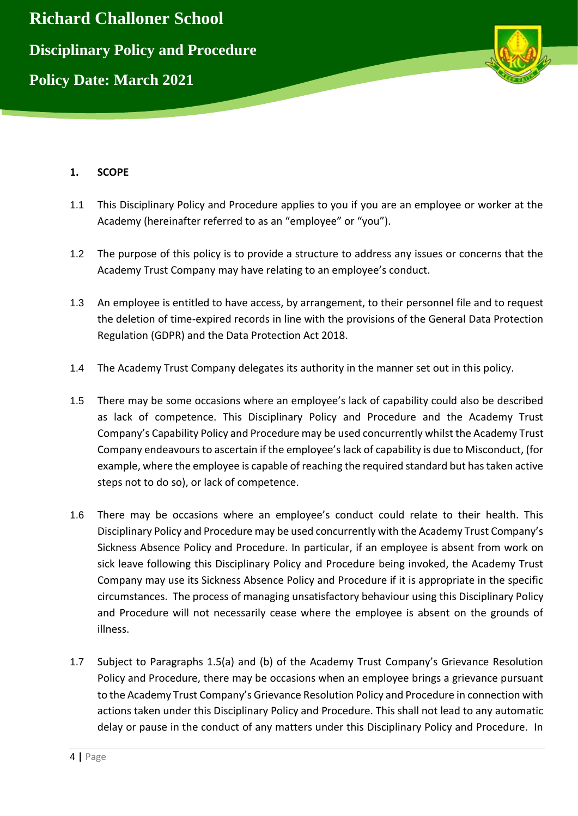

# **1. SCOPE**

- 1.1 This Disciplinary Policy and Procedure applies to you if you are an employee or worker at the Academy (hereinafter referred to as an "employee" or "you").
- 1.2 The purpose of this policy is to provide a structure to address any issues or concerns that the Academy Trust Company may have relating to an employee's conduct.
- 1.3 An employee is entitled to have access, by arrangement, to their personnel file and to request the deletion of time-expired records in line with the provisions of the General Data Protection Regulation (GDPR) and the Data Protection Act 2018.
- 1.4 The Academy Trust Company delegates its authority in the manner set out in this policy.
- 1.5 There may be some occasions where an employee's lack of capability could also be described as lack of competence. This Disciplinary Policy and Procedure and the Academy Trust Company's Capability Policy and Procedure may be used concurrently whilst the Academy Trust Company endeavours to ascertain if the employee's lack of capability is due to Misconduct, (for example, where the employee is capable of reaching the required standard but has taken active steps not to do so), or lack of competence.
- 1.6 There may be occasions where an employee's conduct could relate to their health. This Disciplinary Policy and Procedure may be used concurrently with the Academy Trust Company's Sickness Absence Policy and Procedure. In particular, if an employee is absent from work on sick leave following this Disciplinary Policy and Procedure being invoked, the Academy Trust Company may use its Sickness Absence Policy and Procedure if it is appropriate in the specific circumstances. The process of managing unsatisfactory behaviour using this Disciplinary Policy and Procedure will not necessarily cease where the employee is absent on the grounds of illness.
- 1.7 Subject to Paragraphs 1.5(a) and (b) of the Academy Trust Company's Grievance Resolution Policy and Procedure, there may be occasions when an employee brings a grievance pursuant to the Academy Trust Company's Grievance Resolution Policy and Procedure in connection with actions taken under this Disciplinary Policy and Procedure. This shall not lead to any automatic delay or pause in the conduct of any matters under this Disciplinary Policy and Procedure. In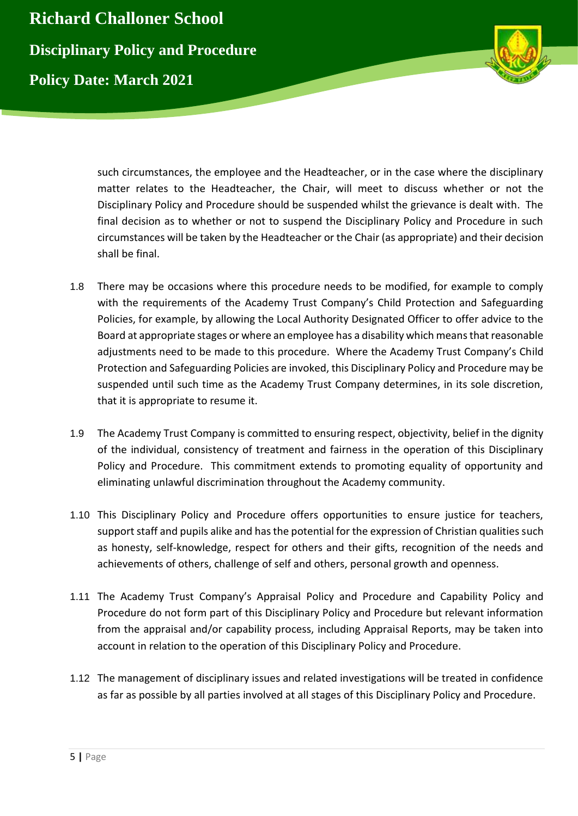

such circumstances, the employee and the Headteacher, or in the case where the disciplinary matter relates to the Headteacher, the Chair, will meet to discuss whether or not the Disciplinary Policy and Procedure should be suspended whilst the grievance is dealt with. The final decision as to whether or not to suspend the Disciplinary Policy and Procedure in such circumstances will be taken by the Headteacher or the Chair (as appropriate) and their decision shall be final.

- 1.8 There may be occasions where this procedure needs to be modified, for example to comply with the requirements of the Academy Trust Company's Child Protection and Safeguarding Policies, for example, by allowing the Local Authority Designated Officer to offer advice to the Board at appropriate stages or where an employee has a disability which means that reasonable adjustments need to be made to this procedure. Where the Academy Trust Company's Child Protection and Safeguarding Policies are invoked, this Disciplinary Policy and Procedure may be suspended until such time as the Academy Trust Company determines, in its sole discretion, that it is appropriate to resume it.
- 1.9 The Academy Trust Company is committed to ensuring respect, objectivity, belief in the dignity of the individual, consistency of treatment and fairness in the operation of this Disciplinary Policy and Procedure. This commitment extends to promoting equality of opportunity and eliminating unlawful discrimination throughout the Academy community.
- 1.10 This Disciplinary Policy and Procedure offers opportunities to ensure justice for teachers, support staff and pupils alike and has the potential for the expression of Christian qualities such as honesty, self-knowledge, respect for others and their gifts, recognition of the needs and achievements of others, challenge of self and others, personal growth and openness.
- 1.11 The Academy Trust Company's Appraisal Policy and Procedure and Capability Policy and Procedure do not form part of this Disciplinary Policy and Procedure but relevant information from the appraisal and/or capability process, including Appraisal Reports, may be taken into account in relation to the operation of this Disciplinary Policy and Procedure.
- 1.12 The management of disciplinary issues and related investigations will be treated in confidence as far as possible by all parties involved at all stages of this Disciplinary Policy and Procedure.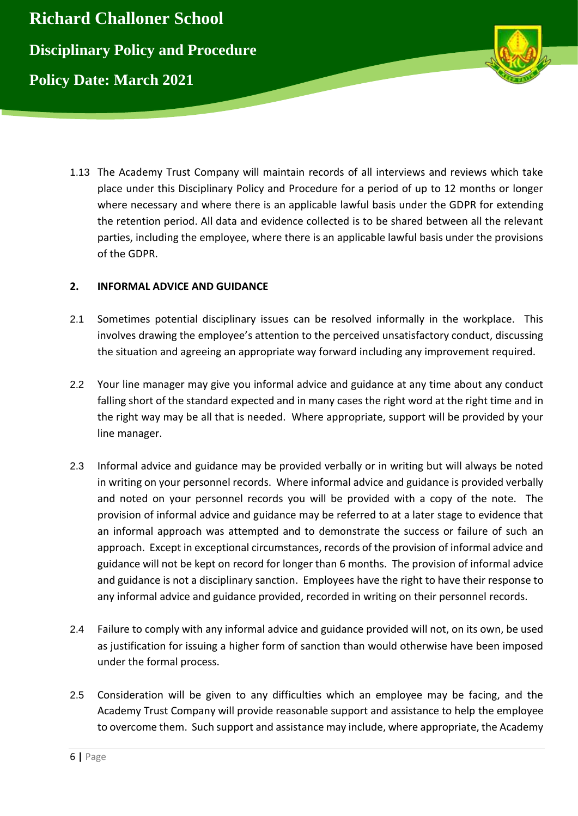

1.13 The Academy Trust Company will maintain records of all interviews and reviews which take place under this Disciplinary Policy and Procedure for a period of up to 12 months or longer where necessary and where there is an applicable lawful basis under the GDPR for extending the retention period. All data and evidence collected is to be shared between all the relevant parties, including the employee, where there is an applicable lawful basis under the provisions of the GDPR.

# **2. INFORMAL ADVICE AND GUIDANCE**

- 2.1 Sometimes potential disciplinary issues can be resolved informally in the workplace. This involves drawing the employee's attention to the perceived unsatisfactory conduct, discussing the situation and agreeing an appropriate way forward including any improvement required.
- 2.2 Your line manager may give you informal advice and guidance at any time about any conduct falling short of the standard expected and in many cases the right word at the right time and in the right way may be all that is needed. Where appropriate, support will be provided by your line manager.
- 2.3 Informal advice and guidance may be provided verbally or in writing but will always be noted in writing on your personnel records. Where informal advice and guidance is provided verbally and noted on your personnel records you will be provided with a copy of the note. The provision of informal advice and guidance may be referred to at a later stage to evidence that an informal approach was attempted and to demonstrate the success or failure of such an approach. Except in exceptional circumstances, records of the provision of informal advice and guidance will not be kept on record for longer than 6 months. The provision of informal advice and guidance is not a disciplinary sanction. Employees have the right to have their response to any informal advice and guidance provided, recorded in writing on their personnel records.
- 2.4 Failure to comply with any informal advice and guidance provided will not, on its own, be used as justification for issuing a higher form of sanction than would otherwise have been imposed under the formal process.
- 2.5 Consideration will be given to any difficulties which an employee may be facing, and the Academy Trust Company will provide reasonable support and assistance to help the employee to overcome them. Such support and assistance may include, where appropriate, the Academy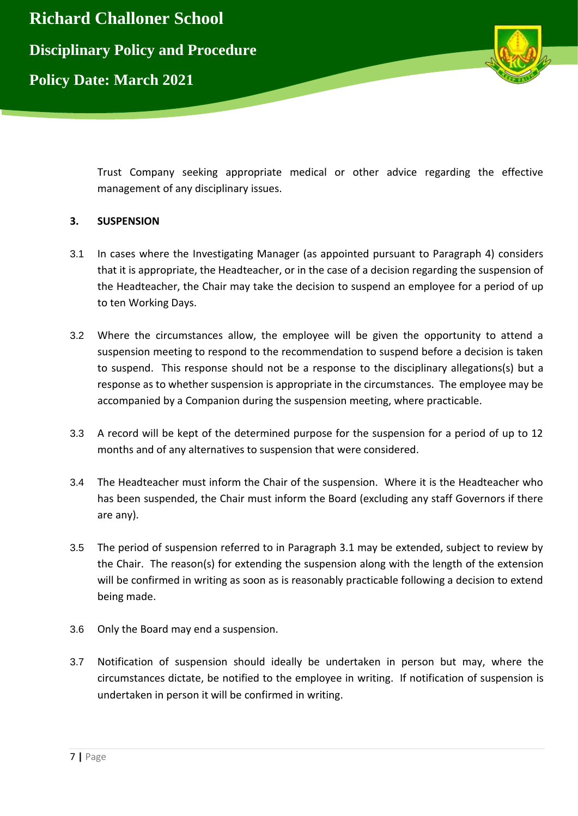



Trust Company seeking appropriate medical or other advice regarding the effective management of any disciplinary issues.

# **3. SUSPENSION**

- 3.1 In cases where the Investigating Manager (as appointed pursuant to Paragraph 4) considers that it is appropriate, the Headteacher, or in the case of a decision regarding the suspension of the Headteacher, the Chair may take the decision to suspend an employee for a period of up to ten Working Days.
- 3.2 Where the circumstances allow, the employee will be given the opportunity to attend a suspension meeting to respond to the recommendation to suspend before a decision is taken to suspend. This response should not be a response to the disciplinary allegations(s) but a response as to whether suspension is appropriate in the circumstances. The employee may be accompanied by a Companion during the suspension meeting, where practicable.
- 3.3 A record will be kept of the determined purpose for the suspension for a period of up to 12 months and of any alternatives to suspension that were considered.
- 3.4 The Headteacher must inform the Chair of the suspension. Where it is the Headteacher who has been suspended, the Chair must inform the Board (excluding any staff Governors if there are any).
- 3.5 The period of suspension referred to in Paragraph 3.1 may be extended, subject to review by the Chair. The reason(s) for extending the suspension along with the length of the extension will be confirmed in writing as soon as is reasonably practicable following a decision to extend being made.
- 3.6 Only the Board may end a suspension.
- 3.7 Notification of suspension should ideally be undertaken in person but may, where the circumstances dictate, be notified to the employee in writing. If notification of suspension is undertaken in person it will be confirmed in writing.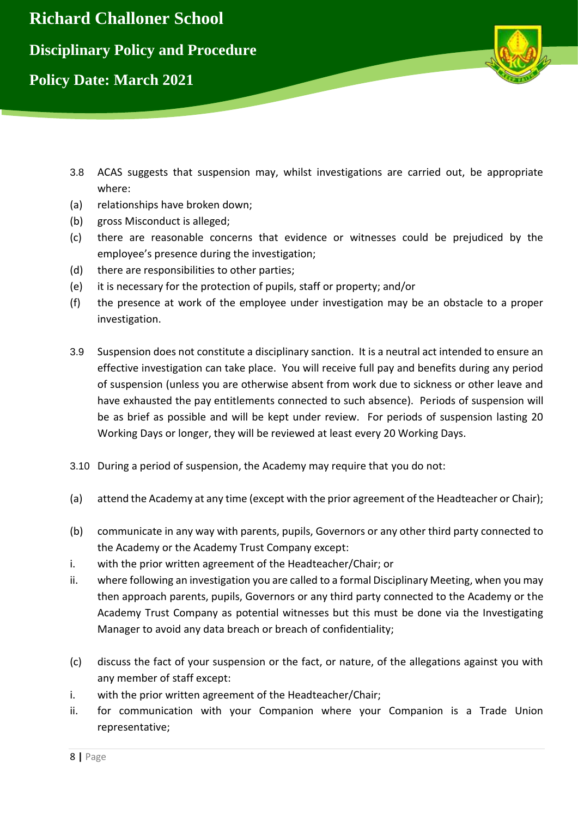

- 3.8 ACAS suggests that suspension may, whilst investigations are carried out, be appropriate where:
- (a) relationships have broken down;
- (b) gross Misconduct is alleged;
- (c) there are reasonable concerns that evidence or witnesses could be prejudiced by the employee's presence during the investigation;
- (d) there are responsibilities to other parties;
- (e) it is necessary for the protection of pupils, staff or property; and/or
- (f) the presence at work of the employee under investigation may be an obstacle to a proper investigation.
- 3.9 Suspension does not constitute a disciplinary sanction. It is a neutral act intended to ensure an effective investigation can take place. You will receive full pay and benefits during any period of suspension (unless you are otherwise absent from work due to sickness or other leave and have exhausted the pay entitlements connected to such absence). Periods of suspension will be as brief as possible and will be kept under review. For periods of suspension lasting 20 Working Days or longer, they will be reviewed at least every 20 Working Days.
- 3.10 During a period of suspension, the Academy may require that you do not:
- (a) attend the Academy at any time (except with the prior agreement of the Headteacher or Chair);
- (b) communicate in any way with parents, pupils, Governors or any other third party connected to the Academy or the Academy Trust Company except:
- i. with the prior written agreement of the Headteacher/Chair; or
- ii. where following an investigation you are called to a formal Disciplinary Meeting, when you may then approach parents, pupils, Governors or any third party connected to the Academy or the Academy Trust Company as potential witnesses but this must be done via the Investigating Manager to avoid any data breach or breach of confidentiality;
- (c) discuss the fact of your suspension or the fact, or nature, of the allegations against you with any member of staff except:
- i. with the prior written agreement of the Headteacher/Chair;
- ii. for communication with your Companion where your Companion is a Trade Union representative;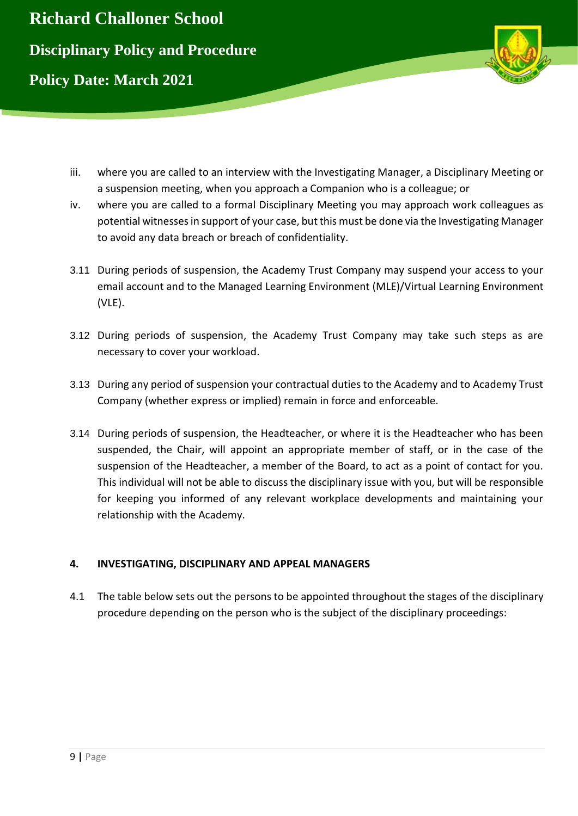

- iii. where you are called to an interview with the Investigating Manager, a Disciplinary Meeting or a suspension meeting, when you approach a Companion who is a colleague; or
- iv. where you are called to a formal Disciplinary Meeting you may approach work colleagues as potential witnesses in support of your case, but this must be done via the Investigating Manager to avoid any data breach or breach of confidentiality.
- 3.11 During periods of suspension, the Academy Trust Company may suspend your access to your email account and to the Managed Learning Environment (MLE)/Virtual Learning Environment (VLE).
- 3.12 During periods of suspension, the Academy Trust Company may take such steps as are necessary to cover your workload.
- 3.13 During any period of suspension your contractual duties to the Academy and to Academy Trust Company (whether express or implied) remain in force and enforceable.
- 3.14 During periods of suspension, the Headteacher, or where it is the Headteacher who has been suspended, the Chair, will appoint an appropriate member of staff, or in the case of the suspension of the Headteacher, a member of the Board, to act as a point of contact for you. This individual will not be able to discuss the disciplinary issue with you, but will be responsible for keeping you informed of any relevant workplace developments and maintaining your relationship with the Academy.

# **4. INVESTIGATING, DISCIPLINARY AND APPEAL MANAGERS**

4.1 The table below sets out the persons to be appointed throughout the stages of the disciplinary procedure depending on the person who is the subject of the disciplinary proceedings: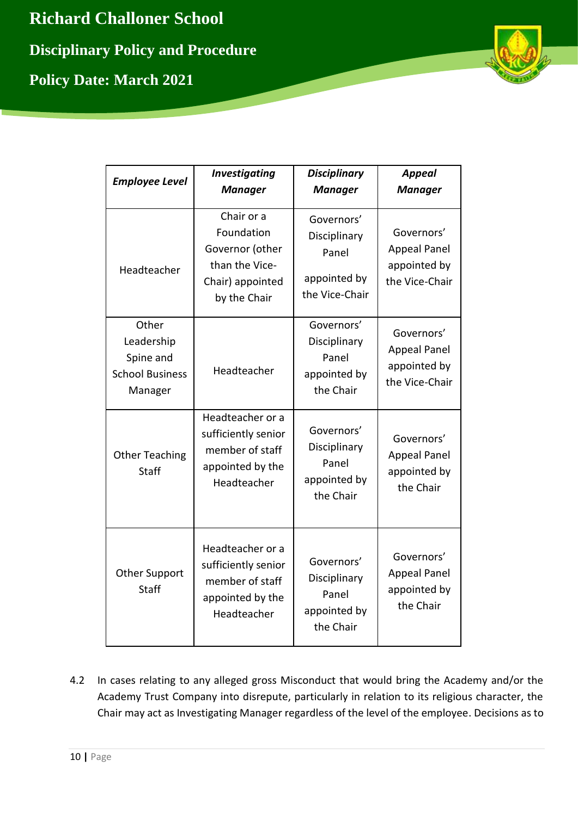

| <b>Employee Level</b>                                                 | <b>Investigating</b><br><b>Manager</b>                                                            | <b>Disciplinary</b><br><b>Manager</b>                                 | <b>Appeal</b><br><b>Manager</b>                                     |
|-----------------------------------------------------------------------|---------------------------------------------------------------------------------------------------|-----------------------------------------------------------------------|---------------------------------------------------------------------|
| Headteacher                                                           | Chair or a<br>Foundation<br>Governor (other<br>than the Vice-<br>Chair) appointed<br>by the Chair | Governors'<br>Disciplinary<br>Panel<br>appointed by<br>the Vice-Chair | Governors'<br><b>Appeal Panel</b><br>appointed by<br>the Vice-Chair |
| Other<br>Leadership<br>Spine and<br><b>School Business</b><br>Manager | Headteacher                                                                                       | Governors'<br>Disciplinary<br>Panel<br>appointed by<br>the Chair      | Governors'<br><b>Appeal Panel</b><br>appointed by<br>the Vice-Chair |
| <b>Other Teaching</b><br><b>Staff</b>                                 | Headteacher or a<br>sufficiently senior<br>member of staff<br>appointed by the<br>Headteacher     | Governors'<br>Disciplinary<br>Panel<br>appointed by<br>the Chair      | Governors'<br><b>Appeal Panel</b><br>appointed by<br>the Chair      |
| <b>Other Support</b><br><b>Staff</b>                                  | Headteacher or a<br>sufficiently senior<br>member of staff<br>appointed by the<br>Headteacher     | Governors'<br>Disciplinary<br>Panel<br>appointed by<br>the Chair      | Governors'<br><b>Appeal Panel</b><br>appointed by<br>the Chair      |

4.2 In cases relating to any alleged gross Misconduct that would bring the Academy and/or the Academy Trust Company into disrepute, particularly in relation to its religious character, the Chair may act as Investigating Manager regardless of the level of the employee. Decisions as to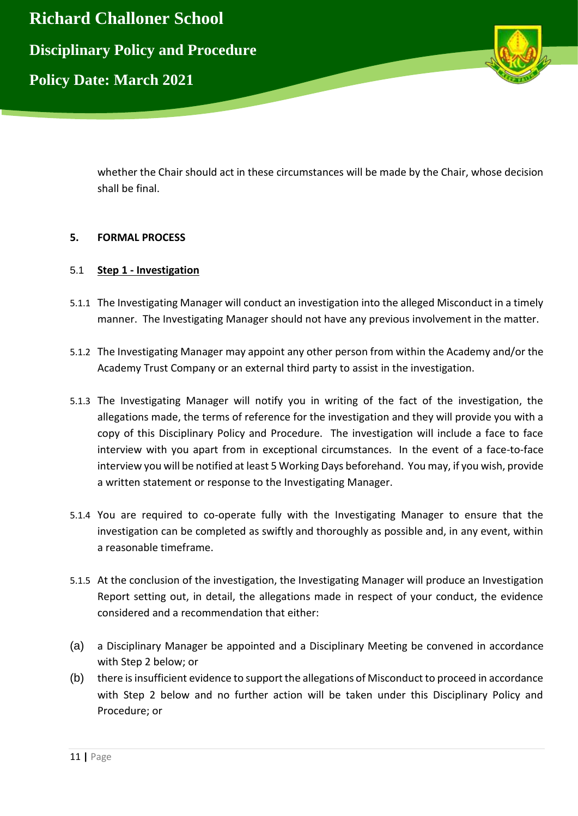

whether the Chair should act in these circumstances will be made by the Chair, whose decision shall be final.

# **5. FORMAL PROCESS**

# 5.1 **Step 1 - Investigation**

- 5.1.1 The Investigating Manager will conduct an investigation into the alleged Misconduct in a timely manner. The Investigating Manager should not have any previous involvement in the matter.
- 5.1.2 The Investigating Manager may appoint any other person from within the Academy and/or the Academy Trust Company or an external third party to assist in the investigation.
- 5.1.3 The Investigating Manager will notify you in writing of the fact of the investigation, the allegations made, the terms of reference for the investigation and they will provide you with a copy of this Disciplinary Policy and Procedure. The investigation will include a face to face interview with you apart from in exceptional circumstances. In the event of a face-to-face interview you will be notified at least 5 Working Days beforehand. You may, if you wish, provide a written statement or response to the Investigating Manager.
- 5.1.4 You are required to co-operate fully with the Investigating Manager to ensure that the investigation can be completed as swiftly and thoroughly as possible and, in any event, within a reasonable timeframe.
- 5.1.5 At the conclusion of the investigation, the Investigating Manager will produce an Investigation Report setting out, in detail, the allegations made in respect of your conduct, the evidence considered and a recommendation that either:
- (a) a Disciplinary Manager be appointed and a Disciplinary Meeting be convened in accordance with Step 2 below; or
- (b) there is insufficient evidence to support the allegations of Misconduct to proceed in accordance with Step 2 below and no further action will be taken under this Disciplinary Policy and Procedure; or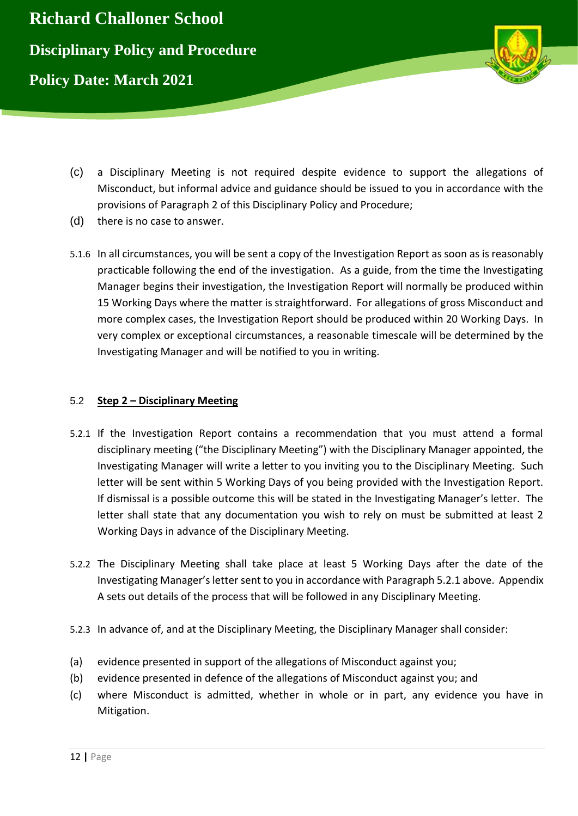

- (c) a Disciplinary Meeting is not required despite evidence to support the allegations of Misconduct, but informal advice and guidance should be issued to you in accordance with the provisions of Paragraph 2 of this Disciplinary Policy and Procedure;
- (d) there is no case to answer.
- 5.1.6 In all circumstances, you will be sent a copy of the Investigation Report as soon as is reasonably practicable following the end of the investigation. As a guide, from the time the Investigating Manager begins their investigation, the Investigation Report will normally be produced within 15 Working Days where the matter is straightforward. For allegations of gross Misconduct and more complex cases, the Investigation Report should be produced within 20 Working Days. In very complex or exceptional circumstances, a reasonable timescale will be determined by the Investigating Manager and will be notified to you in writing.

# 5.2 **Step 2 – Disciplinary Meeting**

- 5.2.1 If the Investigation Report contains a recommendation that you must attend a formal disciplinary meeting ("the Disciplinary Meeting") with the Disciplinary Manager appointed, the Investigating Manager will write a letter to you inviting you to the Disciplinary Meeting. Such letter will be sent within 5 Working Days of you being provided with the Investigation Report. If dismissal is a possible outcome this will be stated in the Investigating Manager's letter. The letter shall state that any documentation you wish to rely on must be submitted at least 2 Working Days in advance of the Disciplinary Meeting.
- 5.2.2 The Disciplinary Meeting shall take place at least 5 Working Days after the date of the Investigating Manager's letter sent to you in accordance with Paragraph 5.2.1 above. Appendix A sets out details of the process that will be followed in any Disciplinary Meeting.
- 5.2.3 In advance of, and at the Disciplinary Meeting, the Disciplinary Manager shall consider:
- (a) evidence presented in support of the allegations of Misconduct against you;
- (b) evidence presented in defence of the allegations of Misconduct against you; and
- (c) where Misconduct is admitted, whether in whole or in part, any evidence you have in Mitigation.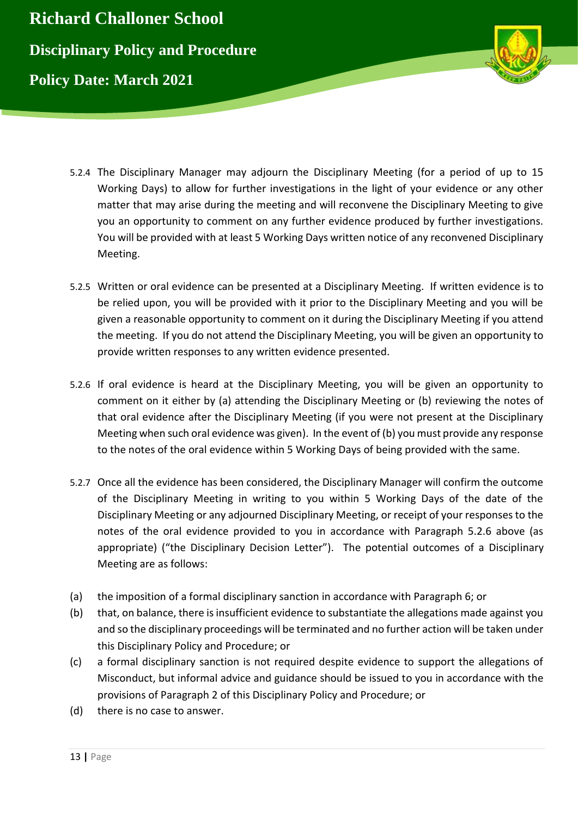

- 5.2.4 The Disciplinary Manager may adjourn the Disciplinary Meeting (for a period of up to 15 Working Days) to allow for further investigations in the light of your evidence or any other matter that may arise during the meeting and will reconvene the Disciplinary Meeting to give you an opportunity to comment on any further evidence produced by further investigations. You will be provided with at least 5 Working Days written notice of any reconvened Disciplinary Meeting.
- 5.2.5 Written or oral evidence can be presented at a Disciplinary Meeting. If written evidence is to be relied upon, you will be provided with it prior to the Disciplinary Meeting and you will be given a reasonable opportunity to comment on it during the Disciplinary Meeting if you attend the meeting. If you do not attend the Disciplinary Meeting, you will be given an opportunity to provide written responses to any written evidence presented.
- 5.2.6 If oral evidence is heard at the Disciplinary Meeting, you will be given an opportunity to comment on it either by (a) attending the Disciplinary Meeting or (b) reviewing the notes of that oral evidence after the Disciplinary Meeting (if you were not present at the Disciplinary Meeting when such oral evidence was given). In the event of (b) you must provide any response to the notes of the oral evidence within 5 Working Days of being provided with the same.
- 5.2.7 Once all the evidence has been considered, the Disciplinary Manager will confirm the outcome of the Disciplinary Meeting in writing to you within 5 Working Days of the date of the Disciplinary Meeting or any adjourned Disciplinary Meeting, or receipt of your responses to the notes of the oral evidence provided to you in accordance with Paragraph 5.2.6 above (as appropriate) ("the Disciplinary Decision Letter"). The potential outcomes of a Disciplinary Meeting are as follows:
- (a) the imposition of a formal disciplinary sanction in accordance with Paragraph 6; or
- (b) that, on balance, there is insufficient evidence to substantiate the allegations made against you and so the disciplinary proceedings will be terminated and no further action will be taken under this Disciplinary Policy and Procedure; or
- (c) a formal disciplinary sanction is not required despite evidence to support the allegations of Misconduct, but informal advice and guidance should be issued to you in accordance with the provisions of Paragraph 2 of this Disciplinary Policy and Procedure; or
- (d) there is no case to answer.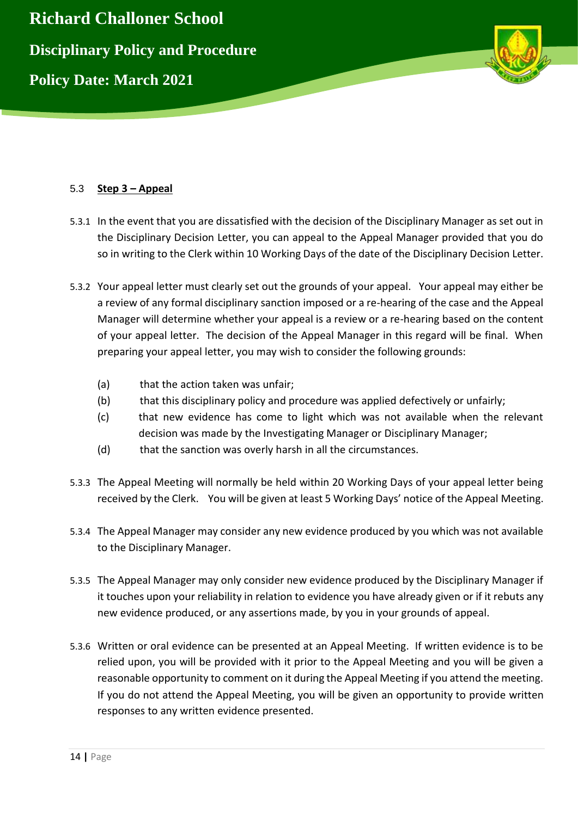



# 5.3 **Step 3 – Appeal**

- 5.3.1 In the event that you are dissatisfied with the decision of the Disciplinary Manager as set out in the Disciplinary Decision Letter, you can appeal to the Appeal Manager provided that you do so in writing to the Clerk within 10 Working Days of the date of the Disciplinary Decision Letter.
- 5.3.2 Your appeal letter must clearly set out the grounds of your appeal. Your appeal may either be a review of any formal disciplinary sanction imposed or a re-hearing of the case and the Appeal Manager will determine whether your appeal is a review or a re-hearing based on the content of your appeal letter. The decision of the Appeal Manager in this regard will be final. When preparing your appeal letter, you may wish to consider the following grounds:
	- (a) that the action taken was unfair;
	- (b) that this disciplinary policy and procedure was applied defectively or unfairly;
	- (c) that new evidence has come to light which was not available when the relevant decision was made by the Investigating Manager or Disciplinary Manager;
	- (d) that the sanction was overly harsh in all the circumstances.
- 5.3.3 The Appeal Meeting will normally be held within 20 Working Days of your appeal letter being received by the Clerk. You will be given at least 5 Working Days' notice of the Appeal Meeting.
- 5.3.4 The Appeal Manager may consider any new evidence produced by you which was not available to the Disciplinary Manager.
- 5.3.5 The Appeal Manager may only consider new evidence produced by the Disciplinary Manager if it touches upon your reliability in relation to evidence you have already given or if it rebuts any new evidence produced, or any assertions made, by you in your grounds of appeal.
- 5.3.6 Written or oral evidence can be presented at an Appeal Meeting. If written evidence is to be relied upon, you will be provided with it prior to the Appeal Meeting and you will be given a reasonable opportunity to comment on it during the Appeal Meeting if you attend the meeting. If you do not attend the Appeal Meeting, you will be given an opportunity to provide written responses to any written evidence presented.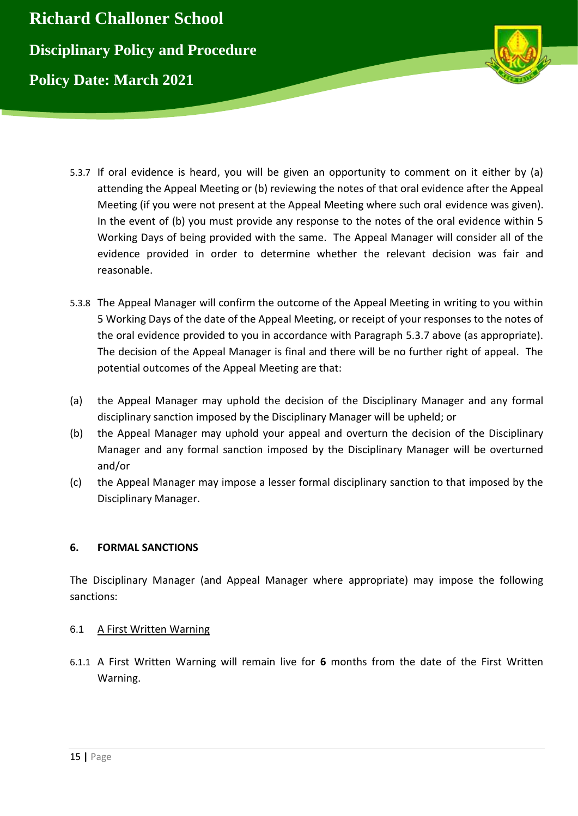

- 5.3.7 If oral evidence is heard, you will be given an opportunity to comment on it either by (a) attending the Appeal Meeting or (b) reviewing the notes of that oral evidence after the Appeal Meeting (if you were not present at the Appeal Meeting where such oral evidence was given). In the event of (b) you must provide any response to the notes of the oral evidence within 5 Working Days of being provided with the same. The Appeal Manager will consider all of the evidence provided in order to determine whether the relevant decision was fair and reasonable.
- 5.3.8 The Appeal Manager will confirm the outcome of the Appeal Meeting in writing to you within 5 Working Days of the date of the Appeal Meeting, or receipt of your responses to the notes of the oral evidence provided to you in accordance with Paragraph 5.3.7 above (as appropriate). The decision of the Appeal Manager is final and there will be no further right of appeal. The potential outcomes of the Appeal Meeting are that:
- (a) the Appeal Manager may uphold the decision of the Disciplinary Manager and any formal disciplinary sanction imposed by the Disciplinary Manager will be upheld; or
- (b) the Appeal Manager may uphold your appeal and overturn the decision of the Disciplinary Manager and any formal sanction imposed by the Disciplinary Manager will be overturned and/or
- (c) the Appeal Manager may impose a lesser formal disciplinary sanction to that imposed by the Disciplinary Manager.

# **6. FORMAL SANCTIONS**

The Disciplinary Manager (and Appeal Manager where appropriate) may impose the following sanctions:

# 6.1 A First Written Warning

6.1.1 A First Written Warning will remain live for **6** months from the date of the First Written Warning.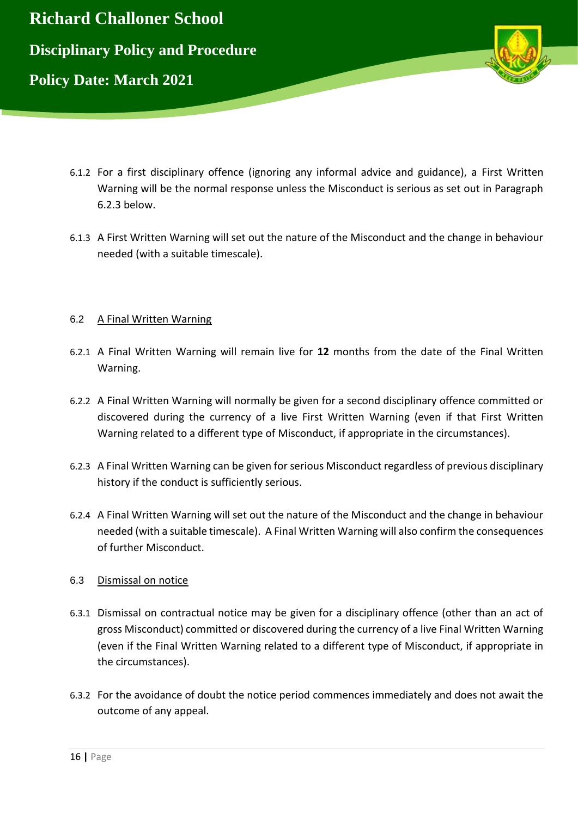

- 6.1.2 For a first disciplinary offence (ignoring any informal advice and guidance), a First Written Warning will be the normal response unless the Misconduct is serious as set out in Paragraph 6.2.3 below.
- 6.1.3 A First Written Warning will set out the nature of the Misconduct and the change in behaviour needed (with a suitable timescale).

#### 6.2 A Final Written Warning

- 6.2.1 A Final Written Warning will remain live for **12** months from the date of the Final Written Warning.
- 6.2.2 A Final Written Warning will normally be given for a second disciplinary offence committed or discovered during the currency of a live First Written Warning (even if that First Written Warning related to a different type of Misconduct, if appropriate in the circumstances).
- 6.2.3 A Final Written Warning can be given for serious Misconduct regardless of previous disciplinary history if the conduct is sufficiently serious.
- 6.2.4 A Final Written Warning will set out the nature of the Misconduct and the change in behaviour needed (with a suitable timescale). A Final Written Warning will also confirm the consequences of further Misconduct.

#### 6.3 Dismissal on notice

- 6.3.1 Dismissal on contractual notice may be given for a disciplinary offence (other than an act of gross Misconduct) committed or discovered during the currency of a live Final Written Warning (even if the Final Written Warning related to a different type of Misconduct, if appropriate in the circumstances).
- 6.3.2 For the avoidance of doubt the notice period commences immediately and does not await the outcome of any appeal.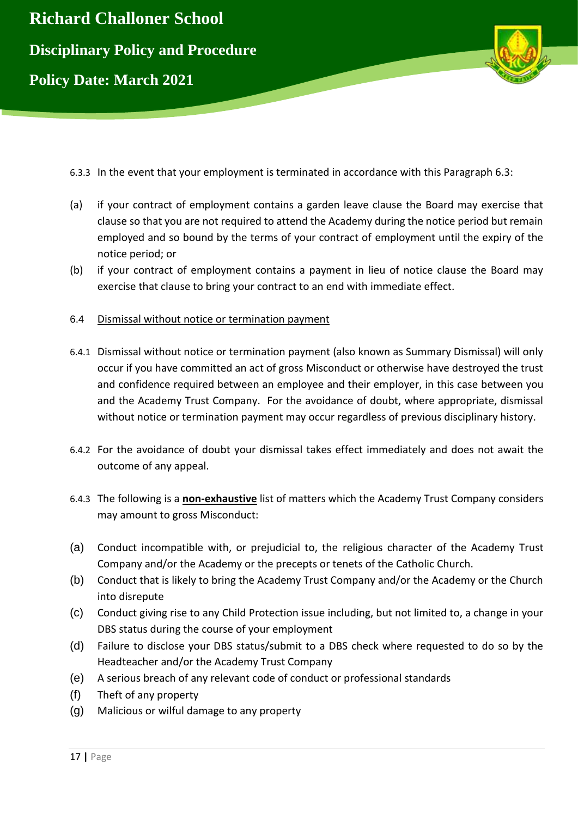

6.3.3 In the event that your employment is terminated in accordance with this Paragraph 6.3:

- (a) if your contract of employment contains a garden leave clause the Board may exercise that clause so that you are not required to attend the Academy during the notice period but remain employed and so bound by the terms of your contract of employment until the expiry of the notice period; or
- (b) if your contract of employment contains a payment in lieu of notice clause the Board may exercise that clause to bring your contract to an end with immediate effect.
- 6.4 Dismissal without notice or termination payment
- 6.4.1 Dismissal without notice or termination payment (also known as Summary Dismissal) will only occur if you have committed an act of gross Misconduct or otherwise have destroyed the trust and confidence required between an employee and their employer, in this case between you and the Academy Trust Company. For the avoidance of doubt, where appropriate, dismissal without notice or termination payment may occur regardless of previous disciplinary history.
- 6.4.2 For the avoidance of doubt your dismissal takes effect immediately and does not await the outcome of any appeal.
- 6.4.3 The following is a **non-exhaustive** list of matters which the Academy Trust Company considers may amount to gross Misconduct:
- (a) Conduct incompatible with, or prejudicial to, the religious character of the Academy Trust Company and/or the Academy or the precepts or tenets of the Catholic Church.
- (b) Conduct that is likely to bring the Academy Trust Company and/or the Academy or the Church into disrepute
- (c) Conduct giving rise to any Child Protection issue including, but not limited to, a change in your DBS status during the course of your employment
- (d) Failure to disclose your DBS status/submit to a DBS check where requested to do so by the Headteacher and/or the Academy Trust Company
- (e) A serious breach of any relevant code of conduct or professional standards
- (f) Theft of any property
- (g) Malicious or wilful damage to any property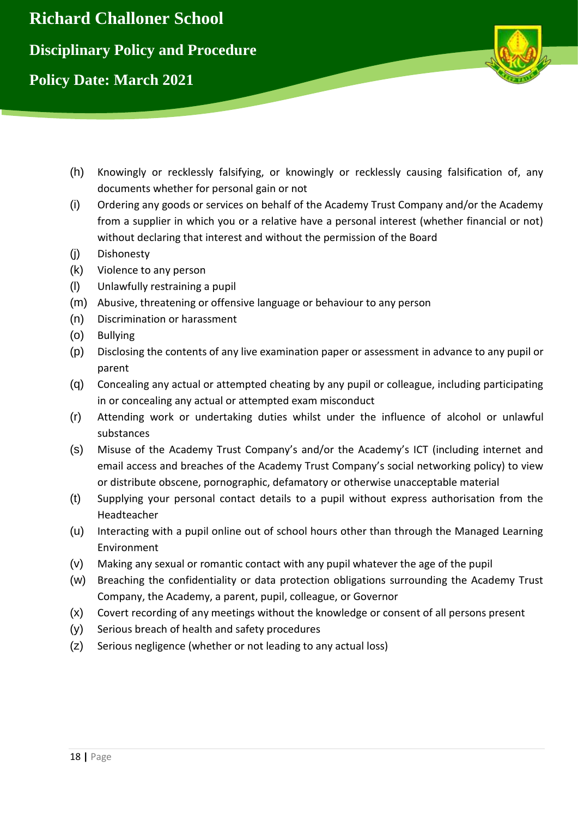

- (h) Knowingly or recklessly falsifying, or knowingly or recklessly causing falsification of, any documents whether for personal gain or not
- (i) Ordering any goods or services on behalf of the Academy Trust Company and/or the Academy from a supplier in which you or a relative have a personal interest (whether financial or not) without declaring that interest and without the permission of the Board
- (j) Dishonesty
- (k) Violence to any person
- (l) Unlawfully restraining a pupil
- (m) Abusive, threatening or offensive language or behaviour to any person
- (n) Discrimination or harassment
- (o) Bullying
- (p) Disclosing the contents of any live examination paper or assessment in advance to any pupil or parent
- (q) Concealing any actual or attempted cheating by any pupil or colleague, including participating in or concealing any actual or attempted exam misconduct
- (r) Attending work or undertaking duties whilst under the influence of alcohol or unlawful substances
- (s) Misuse of the Academy Trust Company's and/or the Academy's ICT (including internet and email access and breaches of the Academy Trust Company's social networking policy) to view or distribute obscene, pornographic, defamatory or otherwise unacceptable material
- (t) Supplying your personal contact details to a pupil without express authorisation from the Headteacher
- (u) Interacting with a pupil online out of school hours other than through the Managed Learning Environment
- (v) Making any sexual or romantic contact with any pupil whatever the age of the pupil
- (w) Breaching the confidentiality or data protection obligations surrounding the Academy Trust Company, the Academy, a parent, pupil, colleague, or Governor
- (x) Covert recording of any meetings without the knowledge or consent of all persons present
- (y) Serious breach of health and safety procedures
- (z) Serious negligence (whether or not leading to any actual loss)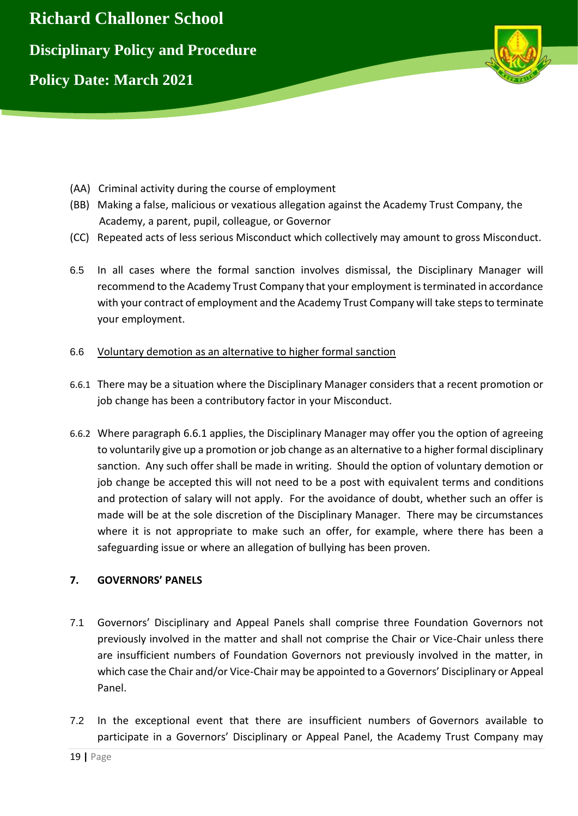

- (AA) Criminal activity during the course of employment
- (BB) Making a false, malicious or vexatious allegation against the Academy Trust Company, the Academy, a parent, pupil, colleague, or Governor
- (CC) Repeated acts of less serious Misconduct which collectively may amount to gross Misconduct.
- 6.5 In all cases where the formal sanction involves dismissal, the Disciplinary Manager will recommend to the Academy Trust Company that your employment is terminated in accordance with your contract of employment and the Academy Trust Company will take steps to terminate your employment.

#### 6.6 Voluntary demotion as an alternative to higher formal sanction

- 6.6.1 There may be a situation where the Disciplinary Manager considers that a recent promotion or job change has been a contributory factor in your Misconduct.
- 6.6.2 Where paragraph 6.6.1 applies, the Disciplinary Manager may offer you the option of agreeing to voluntarily give up a promotion or job change as an alternative to a higher formal disciplinary sanction. Any such offer shall be made in writing. Should the option of voluntary demotion or job change be accepted this will not need to be a post with equivalent terms and conditions and protection of salary will not apply. For the avoidance of doubt, whether such an offer is made will be at the sole discretion of the Disciplinary Manager. There may be circumstances where it is not appropriate to make such an offer, for example, where there has been a safeguarding issue or where an allegation of bullying has been proven.

# **7. GOVERNORS' PANELS**

- 7.1 Governors' Disciplinary and Appeal Panels shall comprise three Foundation Governors not previously involved in the matter and shall not comprise the Chair or Vice-Chair unless there are insufficient numbers of Foundation Governors not previously involved in the matter, in which case the Chair and/or Vice-Chair may be appointed to a Governors' Disciplinary or Appeal Panel.
- 7.2 In the exceptional event that there are insufficient numbers of Governors available to participate in a Governors' Disciplinary or Appeal Panel, the Academy Trust Company may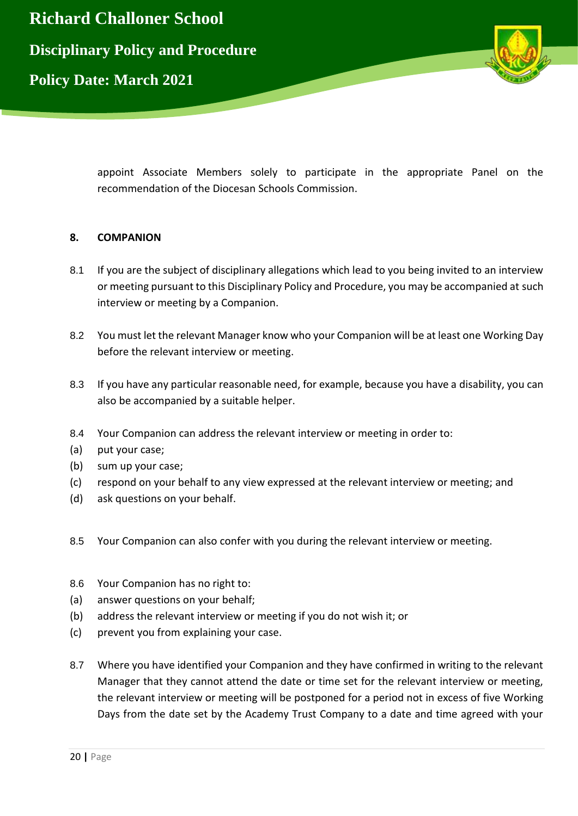

appoint Associate Members solely to participate in the appropriate Panel on the recommendation of the Diocesan Schools Commission.

#### **8. COMPANION**

- 8.1 If you are the subject of disciplinary allegations which lead to you being invited to an interview or meeting pursuant to this Disciplinary Policy and Procedure, you may be accompanied at such interview or meeting by a Companion.
- 8.2 You must let the relevant Manager know who your Companion will be at least one Working Day before the relevant interview or meeting.
- 8.3 If you have any particular reasonable need, for example, because you have a disability, you can also be accompanied by a suitable helper.
- 8.4 Your Companion can address the relevant interview or meeting in order to:
- (a) put your case;
- (b) sum up your case;
- (c) respond on your behalf to any view expressed at the relevant interview or meeting; and
- (d) ask questions on your behalf.
- 8.5 Your Companion can also confer with you during the relevant interview or meeting.
- 8.6 Your Companion has no right to:
- (a) answer questions on your behalf;
- (b) address the relevant interview or meeting if you do not wish it; or
- (c) prevent you from explaining your case.
- 8.7 Where you have identified your Companion and they have confirmed in writing to the relevant Manager that they cannot attend the date or time set for the relevant interview or meeting, the relevant interview or meeting will be postponed for a period not in excess of five Working Days from the date set by the Academy Trust Company to a date and time agreed with your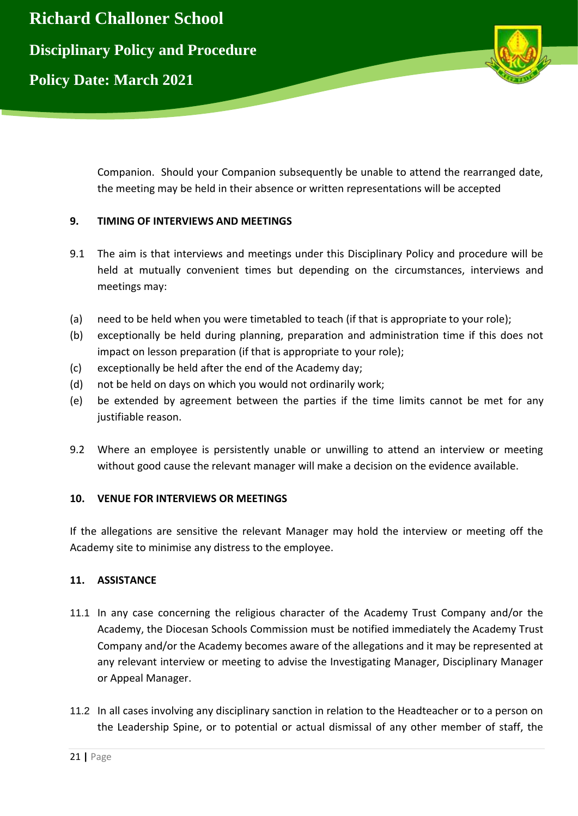

Companion. Should your Companion subsequently be unable to attend the rearranged date, the meeting may be held in their absence or written representations will be accepted

# **9. TIMING OF INTERVIEWS AND MEETINGS**

- 9.1 The aim is that interviews and meetings under this Disciplinary Policy and procedure will be held at mutually convenient times but depending on the circumstances, interviews and meetings may:
- (a) need to be held when you were timetabled to teach (if that is appropriate to your role);
- (b) exceptionally be held during planning, preparation and administration time if this does not impact on lesson preparation (if that is appropriate to your role);
- (c) exceptionally be held after the end of the Academy day;
- (d) not be held on days on which you would not ordinarily work;
- (e) be extended by agreement between the parties if the time limits cannot be met for any justifiable reason.
- 9.2 Where an employee is persistently unable or unwilling to attend an interview or meeting without good cause the relevant manager will make a decision on the evidence available.

# **10. VENUE FOR INTERVIEWS OR MEETINGS**

If the allegations are sensitive the relevant Manager may hold the interview or meeting off the Academy site to minimise any distress to the employee.

# **11. ASSISTANCE**

- 11.1 In any case concerning the religious character of the Academy Trust Company and/or the Academy, the Diocesan Schools Commission must be notified immediately the Academy Trust Company and/or the Academy becomes aware of the allegations and it may be represented at any relevant interview or meeting to advise the Investigating Manager, Disciplinary Manager or Appeal Manager.
- 11.2 In all cases involving any disciplinary sanction in relation to the Headteacher or to a person on the Leadership Spine, or to potential or actual dismissal of any other member of staff, the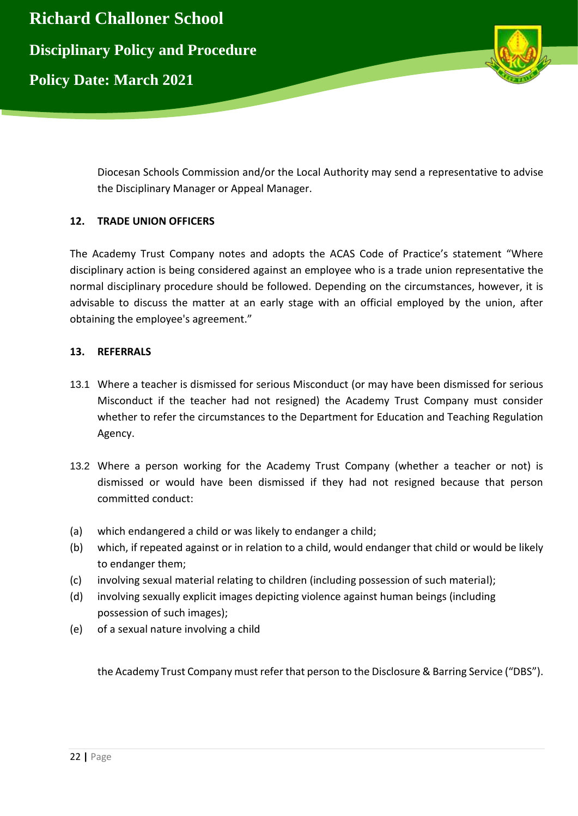

Diocesan Schools Commission and/or the Local Authority may send a representative to advise the Disciplinary Manager or Appeal Manager.

# **12. TRADE UNION OFFICERS**

The Academy Trust Company notes and adopts the ACAS Code of Practice's statement "Where disciplinary action is being considered against an employee who is a trade union representative the normal disciplinary procedure should be followed. Depending on the circumstances, however, it is advisable to discuss the matter at an early stage with an official employed by the union, after obtaining the employee's agreement."

#### **13. REFERRALS**

- 13.1 Where a teacher is dismissed for serious Misconduct (or may have been dismissed for serious Misconduct if the teacher had not resigned) the Academy Trust Company must consider whether to refer the circumstances to the Department for Education and Teaching Regulation Agency.
- 13.2 Where a person working for the Academy Trust Company (whether a teacher or not) is dismissed or would have been dismissed if they had not resigned because that person committed conduct:
- (a) which endangered a child or was likely to endanger a child;
- (b) which, if repeated against or in relation to a child, would endanger that child or would be likely to endanger them;
- (c) involving sexual material relating to children (including possession of such material);
- (d) involving sexually explicit images depicting violence against human beings (including possession of such images);
- (e) of a sexual nature involving a child

the Academy Trust Company must refer that person to the Disclosure & Barring Service ("DBS").